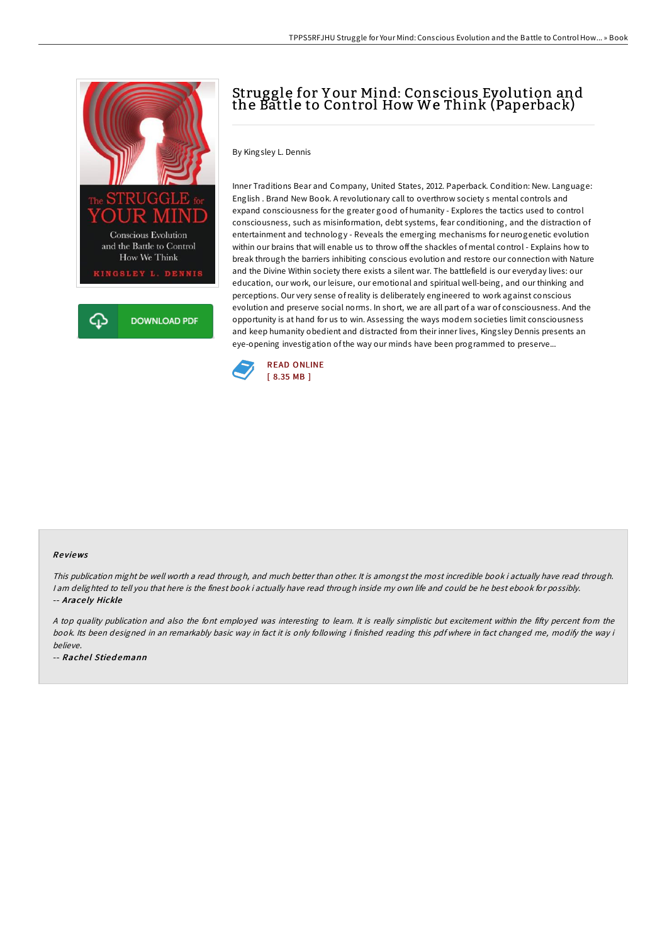

## Struggle for Y our Mind: Conscious Evolution and the Battle to Control How We Think (Paperback)

By Kingsley L. Dennis

Inner Traditions Bear and Company, United States, 2012. Paperback. Condition: New. Language: English . Brand New Book. A revolutionary call to overthrow society s mental controls and expand consciousness for the greater good of humanity - Explores the tactics used to control consciousness, such as misinformation, debt systems, fear conditioning, and the distraction of entertainment and technology - Reveals the emerging mechanisms for neurogenetic evolution within our brains that will enable us to throw off the shackles of mental control - Explains how to break through the barriers inhibiting conscious evolution and restore our connection with Nature and the Divine Within society there exists a silent war. The battlefield is our everyday lives: our education, our work, our leisure, our emotional and spiritual well-being, and our thinking and perceptions. Our very sense ofreality is deliberately engineered to work against conscious evolution and preserve social norms. In short, we are all part of a war of consciousness. And the opportunity is at hand for us to win. Assessing the ways modern societies limit consciousness and keep humanity obedient and distracted from their inner lives, Kingsley Dennis presents an eye-opening investigation of the way our minds have been programmed to preserve...



## Re views

This publication might be well worth <sup>a</sup> read through, and much better than other. It is amongst the most incredible book i actually have read through. <sup>I</sup> am delighted to tell you that here is the finest book i actually have read through inside my own life and could be he best ebook for possibly. -- Arace ly Hickle

A top quality publication and also the font employed was interesting to learn. It is really simplistic but excitement within the fifty percent from the book. Its been designed in an remarkably basic way in fact it is only following i finished reading this pdf where in fact changed me, modify the way i believe.

-- Rachel Stiedemann